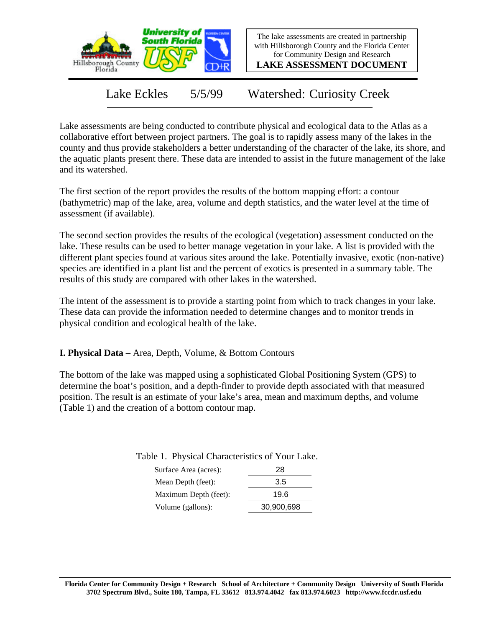

The lake assessments are created in partnership with Hillsborough County and the Florida Center for Community Design and Research

**LAKE ASSESSMENT DOCUMENT**

Lake Eckles 5/5/99 Watershed: Curiosity Creek

Lake assessments are being conducted to contribute physical and ecological data to the Atlas as a collaborative effort between project partners. The goal is to rapidly assess many of the lakes in the county and thus provide stakeholders a better understanding of the character of the lake, its shore, and the aquatic plants present there. These data are intended to assist in the future management of the lake and its watershed.

The first section of the report provides the results of the bottom mapping effort: a contour (bathymetric) map of the lake, area, volume and depth statistics, and the water level at the time of assessment (if available).

The second section provides the results of the ecological (vegetation) assessment conducted on the lake. These results can be used to better manage vegetation in your lake. A list is provided with the different plant species found at various sites around the lake. Potentially invasive, exotic (non-native) species are identified in a plant list and the percent of exotics is presented in a summary table. The results of this study are compared with other lakes in the watershed.

The intent of the assessment is to provide a starting point from which to track changes in your lake. These data can provide the information needed to determine changes and to monitor trends in physical condition and ecological health of the lake.

**I. Physical Data –** Area, Depth, Volume, & Bottom Contours

The bottom of the lake was mapped using a sophisticated Global Positioning System (GPS) to determine the boat's position, and a depth-finder to provide depth associated with that measured position. The result is an estimate of your lake's area, mean and maximum depths, and volume (Table 1) and the creation of a bottom contour map.

| Table 1. Physical Characteristics of Your Lake. |    |
|-------------------------------------------------|----|
| $C_{\text{turb}}$                               | റഠ |

| Surface Area (acres): | 28         |
|-----------------------|------------|
| Mean Depth (feet):    | 3.5        |
| Maximum Depth (feet): | 19.6       |
| Volume (gallons):     | 30,900,698 |
|                       |            |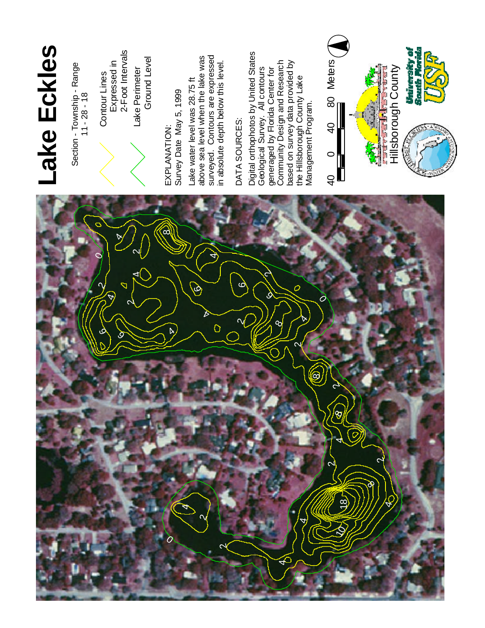

# **L a ke E c k later e s**

Section - Township - Range  $11 - 28 - 18$ 

E X P L A N ATIO N : S u r v e y Date M a y 5 , 1 9 9 9 water level was 2 8 . 7 5 f t sea level when the lake w a s eyed. Contours a r e expressed

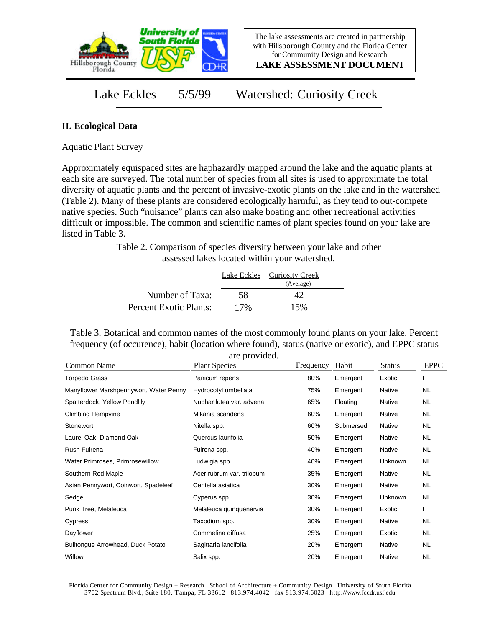

**LAKE ASSESSMENT DOCUMENT**

Lake Eckles 5/5/99 Watershed: Curiosity Creek

### **II. Ecological Data**

Aquatic Plant Survey

Approximately equispaced sites are haphazardly mapped around the lake and the aquatic plants at each site are surveyed. The total number of species from all sites is used to approximate the total diversity of aquatic plants and the percent of invasive-exotic plants on the lake and in the watershed (Table 2). Many of these plants are considered ecologically harmful, as they tend to out-compete native species. Such "nuisance" plants can also make boating and other recreational activities difficult or impossible. The common and scientific names of plant species found on your lake are listed in Table 3.

> Table 2. Comparison of species diversity between your lake and other assessed lakes located within your watershed.

|                        |     | Lake Eckles Curiosity Creek<br>(Average) |  |
|------------------------|-----|------------------------------------------|--|
| Number of Taxa:        | 58  | 42                                       |  |
| Percent Exotic Plants: | 17% | 15%                                      |  |

Table 3. Botanical and common names of the most commonly found plants on your lake. Percent frequency (of occurence), habit (location where found), status (native or exotic), and EPPC status are provided.

| Common Name                            | are provided.<br><b>Plant Species</b> | Frequency | Habit     | <b>Status</b> | <b>EPPC</b> |
|----------------------------------------|---------------------------------------|-----------|-----------|---------------|-------------|
| <b>Torpedo Grass</b>                   | Panicum repens                        | 80%       | Emergent  | Exotic        |             |
| Manyflower Marshpennywort, Water Penny | Hydrocotyl umbellata                  | 75%       | Emergent  | Native        | <b>NL</b>   |
| Spatterdock, Yellow Pondlily           | Nuphar lutea var. advena              | 65%       | Floating  | <b>Native</b> | <b>NL</b>   |
| <b>Climbing Hempvine</b>               | Mikania scandens                      | 60%       | Emergent  | <b>Native</b> | NL.         |
| Stonewort                              | Nitella spp.                          | 60%       | Submersed | Native        | NL.         |
| Laurel Oak; Diamond Oak                | Quercus laurifolia                    | 50%       | Emergent  | Native        | NL.         |
| Rush Fuirena                           | Fuirena spp.                          | 40%       | Emergent  | Native        | NL.         |
| Water Primroses, Primrosewillow        | Ludwigia spp.                         | 40%       | Emergent  | Unknown       | NL.         |
| Southern Red Maple                     | Acer rubrum var. trilobum             | 35%       | Emergent  | Native        | NL.         |
| Asian Pennywort, Coinwort, Spadeleaf   | Centella asiatica                     | 30%       | Emergent  | Native        | NL.         |
| Sedge                                  | Cyperus spp.                          | 30%       | Emergent  | Unknown       | <b>NL</b>   |
| Punk Tree, Melaleuca                   | Melaleuca quinquenervia               | 30%       | Emergent  | Exotic        |             |
| Cypress                                | Taxodium spp.                         | 30%       | Emergent  | Native        | <b>NL</b>   |
| Dayflower                              | Commelina diffusa                     | 25%       | Emergent  | Exotic        | NL.         |
| Bulltongue Arrowhead, Duck Potato      | Sagittaria lancifolia                 | 20%       | Emergent  | <b>Native</b> | NL.         |
| Willow                                 | Salix spp.                            | 20%       | Emergent  | <b>Native</b> | <b>NL</b>   |

Florida Center for Community Design + Research School of Architecture + Community Design University of South Florida 3702 Spectrum Blvd., Suite 180, Tampa, FL 33612 813.974.4042 fax 813.974.6023 http://www.fccdr.usf.edu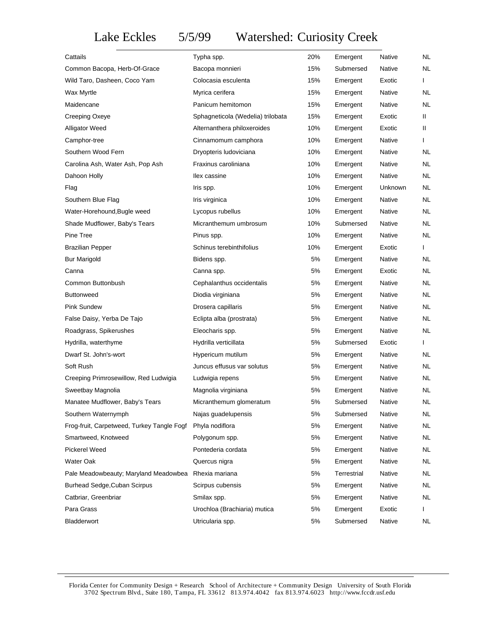## Lake Eckles 5/5/99 Watershed: Curiosity Creek

| Cattails                                   | Typha spp.                        | 20% | Emergent    | Native  | NL.          |
|--------------------------------------------|-----------------------------------|-----|-------------|---------|--------------|
| Common Bacopa, Herb-Of-Grace               | Bacopa monnieri                   | 15% | Submersed   | Native  | NL.          |
| Wild Taro, Dasheen, Coco Yam               | Colocasia esculenta               | 15% | Emergent    | Exotic  | $\mathbf{I}$ |
| Wax Myrtle                                 | Myrica cerifera                   | 15% | Emergent    | Native  | NL.          |
| Maidencane                                 | Panicum hemitomon                 | 15% | Emergent    | Native  | NL.          |
| Creeping Oxeye                             | Sphagneticola (Wedelia) trilobata | 15% | Emergent    | Exotic  | Ш.           |
| <b>Alligator Weed</b>                      | Alternanthera philoxeroides       | 10% | Emergent    | Exotic  | $\mathbf{I}$ |
| Camphor-tree                               | Cinnamomum camphora               | 10% | Emergent    | Native  | $\mathbf{I}$ |
| Southern Wood Fern                         | Dryopteris ludoviciana            | 10% | Emergent    | Native  | NL.          |
| Carolina Ash, Water Ash, Pop Ash           | Fraxinus caroliniana              | 10% | Emergent    | Native  | NL.          |
| Dahoon Holly                               | llex cassine                      | 10% | Emergent    | Native  | NL           |
| Flag                                       | Iris spp.                         | 10% | Emergent    | Unknown | NL.          |
| Southern Blue Flag                         | Iris virginica                    | 10% | Emergent    | Native  | NL.          |
| Water-Horehound, Bugle weed                | Lycopus rubellus                  | 10% | Emergent    | Native  | NL.          |
| Shade Mudflower, Baby's Tears              | Micranthemum umbrosum             | 10% | Submersed   | Native  | NL.          |
| Pine Tree                                  | Pinus spp.                        | 10% | Emergent    | Native  | NL.          |
| <b>Brazilian Pepper</b>                    | Schinus terebinthifolius          | 10% | Emergent    | Exotic  | $\mathbf{I}$ |
| <b>Bur Marigold</b>                        | Bidens spp.                       | 5%  | Emergent    | Native  | NL.          |
| Canna                                      | Canna spp.                        | 5%  | Emergent    | Exotic  | NL.          |
| Common Buttonbush                          | Cephalanthus occidentalis         | 5%  | Emergent    | Native  | NL.          |
| <b>Buttonweed</b>                          | Diodia virginiana                 | 5%  | Emergent    | Native  | NL.          |
| <b>Pink Sundew</b>                         | Drosera capillaris                | 5%  | Emergent    | Native  | NL.          |
| False Daisy, Yerba De Tajo                 | Eclipta alba (prostrata)          | 5%  | Emergent    | Native  | NL.          |
| Roadgrass, Spikerushes                     | Eleocharis spp.                   | 5%  | Emergent    | Native  | NL.          |
| Hydrilla, waterthyme                       | Hydrilla verticillata             | 5%  | Submersed   | Exotic  | $\mathbf{I}$ |
| Dwarf St. John's-wort                      | Hypericum mutilum                 | 5%  | Emergent    | Native  | NL.          |
| Soft Rush                                  | Juncus effusus var solutus        | 5%  | Emergent    | Native  | NL.          |
| Creeping Primrosewillow, Red Ludwigia      | Ludwigia repens                   | 5%  | Emergent    | Native  | NL.          |
| Sweetbay Magnolia                          | Magnolia virginiana               | 5%  | Emergent    | Native  | NL           |
| Manatee Mudflower, Baby's Tears            | Micranthemum glomeratum           | 5%  | Submersed   | Native  | <b>NL</b>    |
| Southern Waternymph                        | Najas guadelupensis               | 5%  | Submersed   | Native  | <b>NL</b>    |
| Frog-fruit, Carpetweed, Turkey Tangle Fogf | Phyla nodiflora                   | 5%  | Emergent    | Native  | <b>NL</b>    |
| Smartweed, Knotweed                        | Polygonum spp.                    | 5%  | Emergent    | Native  | NL           |
| <b>Pickerel Weed</b>                       | Pontederia cordata                | 5%  | Emergent    | Native  | <b>NL</b>    |
| Water Oak                                  | Quercus nigra                     | 5%  | Emergent    | Native  | <b>NL</b>    |
| Pale Meadowbeauty; Maryland Meadowbea      | Rhexia mariana                    | 5%  | Terrestrial | Native  | <b>NL</b>    |
| Burhead Sedge, Cuban Scirpus               | Scirpus cubensis                  | 5%  | Emergent    | Native  | <b>NL</b>    |
| Catbriar, Greenbriar                       | Smilax spp.                       | 5%  | Emergent    | Native  | <b>NL</b>    |
| Para Grass                                 | Urochloa (Brachiaria) mutica      | 5%  | Emergent    | Exotic  | $\mathbf{I}$ |
| Bladderwort                                | Utricularia spp.                  | 5%  | Submersed   | Native  | NL.          |